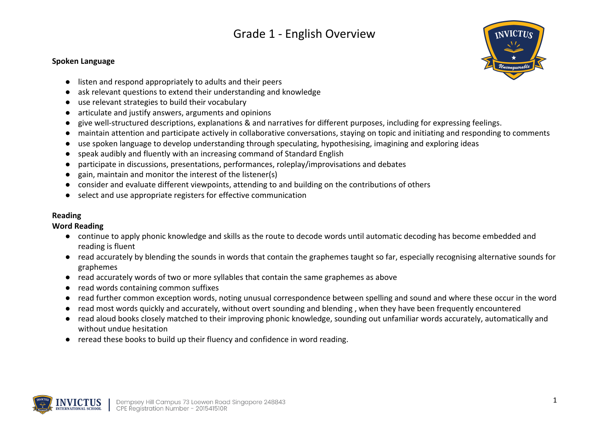#### **Spoken Language**



- listen and respond appropriately to adults and their peers
- ask relevant questions to extend their understanding and knowledge
- use relevant strategies to build their vocabulary
- articulate and justify answers, arguments and opinions
- give well-structured descriptions, explanations & and narratives for different purposes, including for expressing feelings.
- maintain attention and participate actively in collaborative conversations, staying on topic and initiating and responding to comments
- use spoken language to develop understanding through speculating, hypothesising, imagining and exploring ideas
- speak audibly and fluently with an increasing command of Standard English
- participate in discussions, presentations, performances, roleplay/improvisations and debates
- gain, maintain and monitor the interest of the listener(s)
- consider and evaluate different viewpoints, attending to and building on the contributions of others
- select and use appropriate registers for effective communication

## **Reading**

## **Word Reading**

- continue to apply phonic knowledge and skills as the route to decode words until automatic decoding has become embedded and reading is fluent
- read accurately by blending the sounds in words that contain the graphemes taught so far, especially recognising alternative sounds for graphemes
- read accurately words of two or more syllables that contain the same graphemes as above
- read words containing common suffixes
- read further common exception words, noting unusual correspondence between spelling and sound and where these occur in the word
- read most words quickly and accurately, without overt sounding and blending, when they have been frequently encountered
- read aloud books closely matched to their improving phonic knowledge, sounding out unfamiliar words accurately, automatically and without undue hesitation
- reread these books to build up their fluency and confidence in word reading.

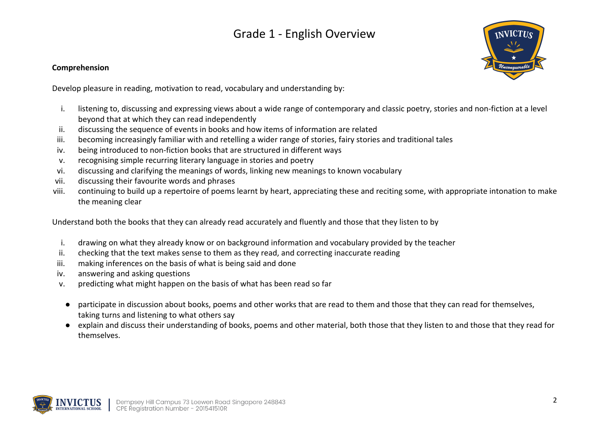## **Comprehension**

Develop pleasure in reading, motivation to read, vocabulary and understanding by:

- i. listening to, discussing and expressing views about a wide range of contemporary and classic poetry, stories and non-fiction at a level beyond that at which they can read independently
- ii. discussing the sequence of events in books and how items of information are related
- iii. becoming increasingly familiar with and retelling a wider range of stories, fairy stories and traditional tales
- iv. being introduced to non-fiction books that are structured in different ways
- v. recognising simple recurring literary language in stories and poetry
- vi. discussing and clarifying the meanings of words, linking new meanings to known vocabulary
- vii. discussing their favourite words and phrases
- viii. continuing to build up a repertoire of poems learnt by heart, appreciating these and reciting some, with appropriate intonation to make the meaning clear

Understand both the books that they can already read accurately and fluently and those that they listen to by

- i. drawing on what they already know or on background information and vocabulary provided by the teacher
- ii. checking that the text makes sense to them as they read, and correcting inaccurate reading
- iii. making inferences on the basis of what is being said and done
- iv. answering and asking questions
- v. predicting what might happen on the basis of what has been read so far
- participate in discussion about books, poems and other works that are read to them and those that they can read for themselves, taking turns and listening to what others say
- explain and discuss their understanding of books, poems and other material, both those that they listen to and those that they read for themselves.

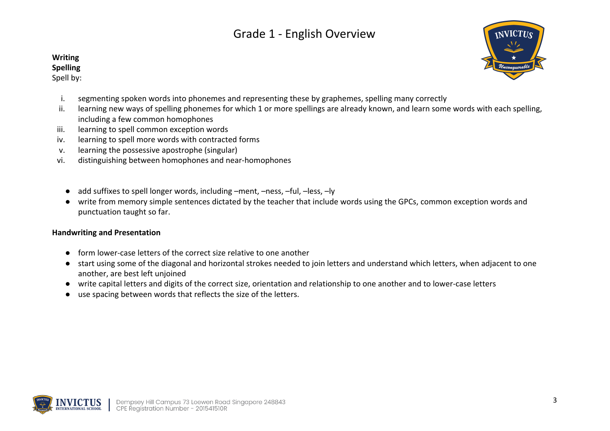## **Writing**

## **Spelling**

Spell by:



- i. segmenting spoken words into phonemes and representing these by graphemes, spelling many correctly
- ii. learning new ways of spelling phonemes for which 1 or more spellings are already known, and learn some words with each spelling, including a few common homophones
- iii. learning to spell common exception words
- iv. learning to spell more words with contracted forms
- v. learning the possessive apostrophe (singular)
- vi. distinguishing between homophones and near-homophones
	- add suffixes to spell longer words, including –ment, –ness, –ful, –less, –ly
	- write from memory simple sentences dictated by the teacher that include words using the GPCs, common exception words and punctuation taught so far.

#### **Handwriting and Presentation**

- form lower-case letters of the correct size relative to one another
- start using some of the diagonal and horizontal strokes needed to join letters and understand which letters, when adjacent to one another, are best left unjoined
- write capital letters and digits of the correct size, orientation and relationship to one another and to lower-case letters
- use spacing between words that reflects the size of the letters.

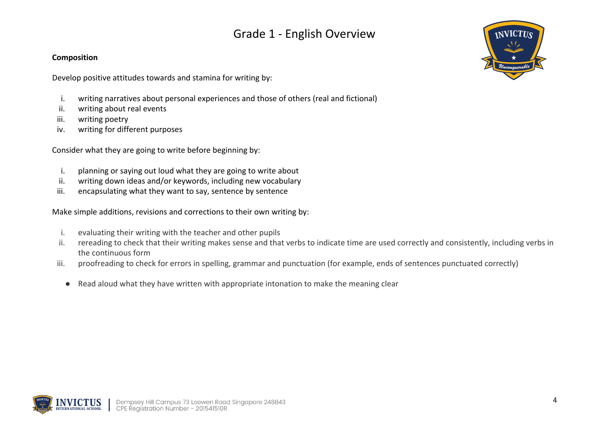## **Composition**

Develop positive attitudes towards and stamina for writing by:

- i. writing narratives about personal experiences and those of others (real and fictional)
- ii. writing about real events
- iii. writing poetry
- iv. writing for different purposes

Consider what they are going to write before beginning by:

- i. planning or saying out loud what they are going to write about
- ii. writing down ideas and/or keywords, including new vocabulary
- iii. encapsulating what they want to say, sentence by sentence

Make simple additions, revisions and corrections to their own writing by:

- i. evaluating their writing with the teacher and other pupils
- ii. rereading to check that their writing makes sense and that verbs to indicate time are used correctly and consistently, including verbs in the continuous form
- iii. proofreading to check for errors in spelling, grammar and punctuation (for example, ends of sentences punctuated correctly)
	- Read aloud what they have written with appropriate intonation to make the meaning clear